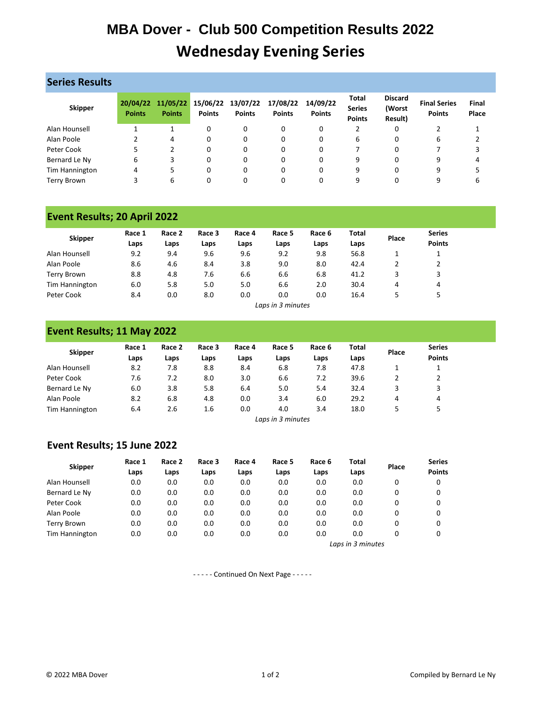# **MBA Dover - Club 500 Competition Results 2022 Wednesday Evening Series**

| <b>Series Results</b> |                           |                           |               |                                    |                           |                           |                                                |                                     |                                      |                |  |  |  |
|-----------------------|---------------------------|---------------------------|---------------|------------------------------------|---------------------------|---------------------------|------------------------------------------------|-------------------------------------|--------------------------------------|----------------|--|--|--|
| <b>Skipper</b>        | 20/04/22<br><b>Points</b> | 11/05/22<br><b>Points</b> | <b>Points</b> | 15/06/22 13/07/22<br><b>Points</b> | 17/08/22<br><b>Points</b> | 14/09/22<br><b>Points</b> | <b>Total</b><br><b>Series</b><br><b>Points</b> | <b>Discard</b><br>(Worst<br>Result) | <b>Final Series</b><br><b>Points</b> | Final<br>Place |  |  |  |
| Alan Hounsell         |                           |                           | 0             | 0                                  | 0                         | 0                         | 2                                              | 0                                   |                                      |                |  |  |  |
| Alan Poole            |                           | 4                         | 0             | 0                                  | 0                         | 0                         | 6                                              | 0                                   | 6                                    |                |  |  |  |
| Peter Cook            |                           |                           | 0             | 0                                  | 0                         | 0                         |                                                |                                     |                                      |                |  |  |  |
| Bernard Le Ny         | 6                         | 3                         | 0             | 0                                  | 0                         | 0                         | 9                                              | 0                                   | 9                                    | 4              |  |  |  |
| Tim Hannington        | 4                         |                           | 0             | 0                                  | 0                         | 0                         | 9                                              | 0                                   | 9                                    |                |  |  |  |
| <b>Terry Brown</b>    |                           | 6                         | 0             | 0                                  |                           | 0                         | 9                                              |                                     | 9                                    |                |  |  |  |

### **Event Results; 20 April 2022**

| <b>Skipper</b> | Race 1<br>Laps | Race 2<br>Laps | Race 3<br>Laps | Race 4<br>Laps | Race 5<br>Laps    | Race 6<br>Laps | <b>Total</b><br>Laps | Place | <b>Series</b><br><b>Points</b> |
|----------------|----------------|----------------|----------------|----------------|-------------------|----------------|----------------------|-------|--------------------------------|
| Alan Hounsell  | 9.2            | 9.4            | 9.6            | 9.6            | 9.2               | 9.8            | 56.8                 |       |                                |
| Alan Poole     | 8.6            | 4.6            | 8.4            | 3.8            | 9.0               | 8.0            | 42.4                 |       |                                |
| Terry Brown    | 8.8            | 4.8            | 7.6            | 6.6            | 6.6               | 6.8            | 41.2                 | 3     | 3                              |
| Tim Hannington | 6.0            | 5.8            | 5.0            | 5.0            | 6.6               | 2.0            | 30.4                 | 4     | 4                              |
| Peter Cook     | 8.4            | 0.0            | 8.0            | 0.0            | 0.0               | 0.0            | 16.4                 |       | ь                              |
|                |                |                |                |                | Laps in 3 minutes |                |                      |       |                                |

#### **Event Results; 11 May 2022**

| <b>Skipper</b> | Race 1<br>Laps | Race 2<br>Laps | Race 3<br>Laps | Race 4<br>Laps | Race 5<br>Laps    | Race 6<br>Laps | <b>Total</b><br>Laps | Place | <b>Series</b><br><b>Points</b> |
|----------------|----------------|----------------|----------------|----------------|-------------------|----------------|----------------------|-------|--------------------------------|
| Alan Hounsell  | 8.2            | 7.8            | 8.8            | 8.4            | 6.8               | 7.8            | 47.8                 |       |                                |
| Peter Cook     | 7.6            | 7.2            | 8.0            | 3.0            | 6.6               | 7.2            | 39.6                 |       |                                |
| Bernard Le Ny  | 6.0            | 3.8            | 5.8            | 6.4            | 5.0               | 5.4            | 32.4                 | 3     | 3                              |
| Alan Poole     | 8.2            | 6.8            | 4.8            | 0.0            | 3.4               | 6.0            | 29.2                 | 4     | 4                              |
| Tim Hannington | 6.4            | 2.6            | 1.6            | 0.0            | 4.0               | 3.4            | 18.0                 |       | 5                              |
|                |                |                |                |                | Lans in 3 minutes |                |                      |       |                                |

#### *Laps in 3 minutes*

### **Event Results; 15 June 2022**

| <b>Skipper</b>     | Race 1<br>Laps | Race 2<br>Laps | Race 3<br>Laps | Race 4<br>Laps | Race 5<br>Laps    | Race 6<br>Laps | Total<br>Laps | Place | <b>Series</b><br><b>Points</b> |  |  |
|--------------------|----------------|----------------|----------------|----------------|-------------------|----------------|---------------|-------|--------------------------------|--|--|
| Alan Hounsell      | 0.0            | 0.0            | 0.0            | 0.0            | 0.0               | 0.0            | 0.0           | 0     | 0                              |  |  |
| Bernard Le Ny      | 0.0            | 0.0            | 0.0            | 0.0            | 0.0               | 0.0            | 0.0           | 0     | 0                              |  |  |
| Peter Cook         | 0.0            | 0.0            | 0.0            | 0.0            | 0.0               | 0.0            | 0.0           | 0     | 0                              |  |  |
| Alan Poole         | 0.0            | 0.0            | 0.0            | 0.0            | 0.0               | 0.0            | 0.0           | 0     | 0                              |  |  |
| <b>Terry Brown</b> | 0.0            | 0.0            | 0.0            | 0.0            | 0.0               | 0.0            | 0.0           | 0     | 0                              |  |  |
| Tim Hannington     | 0.0            | 0.0            | 0.0            | 0.0            | 0.0               | 0.0            | 0.0           | 0     | 0                              |  |  |
|                    |                |                |                |                | Laps in 3 minutes |                |               |       |                                |  |  |

- - - - - Continued On Next Page - - - - -